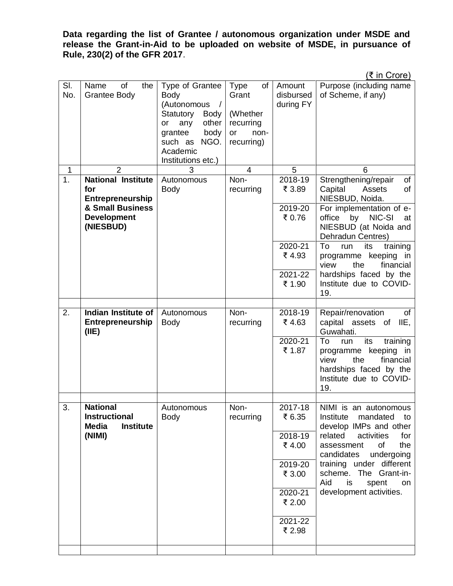**Data regarding the list of Grantee / autonomous organization under MSDE and release the Grant-in-Aid to be uploaded on website of MSDE, in pursuance of Rule, 230(2) of the GFR 2017**.

(₹ in Crore)

| SI.<br>No.  | of<br>the<br>Name<br><b>Grantee Body</b>                                 | Type of Grantee<br><b>Body</b><br>(Autonomous<br>$\sqrt{2}$<br>Statutory<br>Body<br>other<br>any<br>or<br>grantee<br>body<br>such as<br>NGO.<br>Academic<br>Institutions etc.) | Type<br>$of \mid$<br>Grant<br>(Whether<br>recurring<br>or<br>non-<br>recurring) | Amount<br>disbursed<br>during FY | $\frac{1}{2}$<br>Purpose (including name<br>of Scheme, if any)                                                                               |
|-------------|--------------------------------------------------------------------------|--------------------------------------------------------------------------------------------------------------------------------------------------------------------------------|---------------------------------------------------------------------------------|----------------------------------|----------------------------------------------------------------------------------------------------------------------------------------------|
| $\mathbf 1$ | $\overline{2}$                                                           | 3                                                                                                                                                                              | $\overline{4}$                                                                  | 5                                | 6                                                                                                                                            |
| 1.          | <b>National Institute</b><br>for<br>Entrepreneurship<br>& Small Business | Autonomous<br><b>Body</b>                                                                                                                                                      | Non-<br>recurring                                                               | 2018-19<br>₹ 3.89<br>2019-20     | Strengthening/repair<br>of<br>Capital<br>Assets<br>of<br>NIESBUD, Noida.<br>For implementation of e-                                         |
|             | <b>Development</b><br>(NIESBUD)                                          |                                                                                                                                                                                |                                                                                 | ₹ 0.76                           | office by<br>NIC-SI<br>at<br>NIESBUD (at Noida and<br>Dehradun Centres)                                                                      |
|             |                                                                          |                                                                                                                                                                                |                                                                                 | 2020-21<br>₹4.93                 | To<br>its<br>training<br>run<br>programme keeping in<br>view<br>the<br>financial                                                             |
|             |                                                                          |                                                                                                                                                                                |                                                                                 | 2021-22<br>₹ 1.90                | hardships faced by the<br>Institute due to COVID-<br>19.                                                                                     |
|             |                                                                          |                                                                                                                                                                                |                                                                                 |                                  |                                                                                                                                              |
| 2.          | Indian Institute of<br>Entrepreneurship<br>(IIE)                         | Autonomous<br><b>Body</b>                                                                                                                                                      | Non-<br>recurring                                                               | 2018-19<br>₹4.63                 | Repair/renovation<br>of<br>capital assets of<br>IIE,<br>Guwahati.                                                                            |
|             |                                                                          |                                                                                                                                                                                |                                                                                 | 2020-21<br>₹ 1.87                | To<br>its<br>training<br>run<br>programme keeping in<br>view<br>the<br>financial<br>hardships faced by the<br>Institute due to COVID-<br>19. |
|             | <b>National</b>                                                          |                                                                                                                                                                                |                                                                                 |                                  |                                                                                                                                              |
| 3.          | <b>Instructional</b><br><b>Media</b><br><b>Institute</b>                 | Autonomous<br><b>Body</b>                                                                                                                                                      | Non-<br>recurring                                                               | 2017-18<br>₹ 6.35                | NIMI is an autonomous<br>mandated to<br>Institute<br>develop IMPs and other                                                                  |
|             | (NIMI)                                                                   |                                                                                                                                                                                |                                                                                 | 2018-19<br>₹4.00                 | related<br>activities<br>for<br><b>of</b><br>the<br>assessment<br>candidates<br>undergoing                                                   |
|             |                                                                          |                                                                                                                                                                                |                                                                                 | 2019-20<br>₹ 3.00                | training under different<br>scheme. The Grant-in-<br>Aid<br>is<br>spent<br>on                                                                |
|             |                                                                          |                                                                                                                                                                                |                                                                                 | 2020-21<br>₹ 2.00                | development activities.                                                                                                                      |
|             |                                                                          |                                                                                                                                                                                |                                                                                 | 2021-22<br>₹ 2.98                |                                                                                                                                              |
|             |                                                                          |                                                                                                                                                                                |                                                                                 |                                  |                                                                                                                                              |